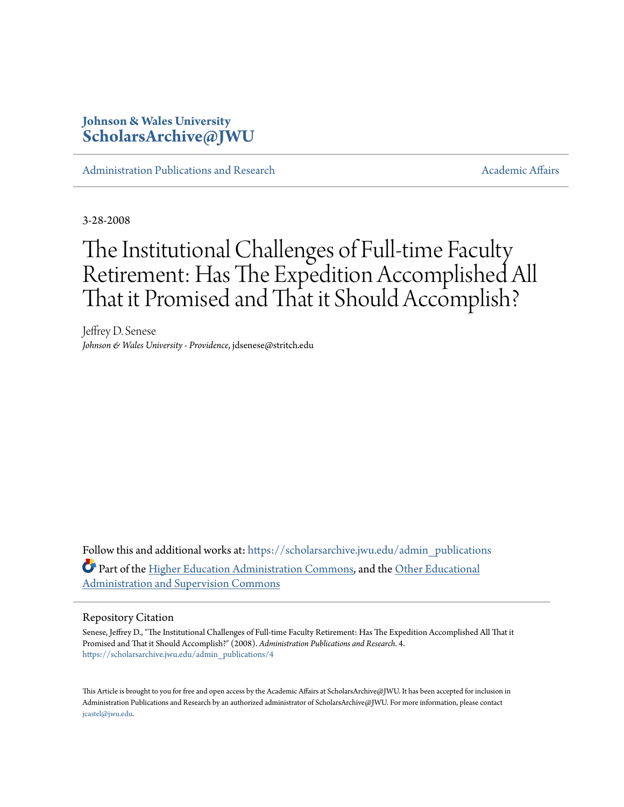## **Johnson & Wales University [ScholarsArchive@JWU](https://scholarsarchive.jwu.edu?utm_source=scholarsarchive.jwu.edu%2Fadmin_publications%2F4&utm_medium=PDF&utm_campaign=PDFCoverPages)**

[Administration Publications and Research](https://scholarsarchive.jwu.edu/admin_publications?utm_source=scholarsarchive.jwu.edu%2Fadmin_publications%2F4&utm_medium=PDF&utm_campaign=PDFCoverPages) [Academic Affairs](https://scholarsarchive.jwu.edu/ac_affairs?utm_source=scholarsarchive.jwu.edu%2Fadmin_publications%2F4&utm_medium=PDF&utm_campaign=PDFCoverPages) Academic Affairs

3-28-2008

# The Institutional Challenges of Full-time Faculty Retirement: Has The Expedition Accomplished All That it Promised and That it Should Accomplish?

Jeffrey D. Senese *Johnson & Wales University - Providence*, jdsenese@stritch.edu

Follow this and additional works at: [https://scholarsarchive.jwu.edu/admin\\_publications](https://scholarsarchive.jwu.edu/admin_publications?utm_source=scholarsarchive.jwu.edu%2Fadmin_publications%2F4&utm_medium=PDF&utm_campaign=PDFCoverPages) Part of the [Higher Education Administration Commons](http://network.bepress.com/hgg/discipline/791?utm_source=scholarsarchive.jwu.edu%2Fadmin_publications%2F4&utm_medium=PDF&utm_campaign=PDFCoverPages), and the [Other Educational](http://network.bepress.com/hgg/discipline/794?utm_source=scholarsarchive.jwu.edu%2Fadmin_publications%2F4&utm_medium=PDF&utm_campaign=PDFCoverPages) [Administration and Supervision Commons](http://network.bepress.com/hgg/discipline/794?utm_source=scholarsarchive.jwu.edu%2Fadmin_publications%2F4&utm_medium=PDF&utm_campaign=PDFCoverPages)

#### Repository Citation

Senese, Jeffrey D., "The Institutional Challenges of Full-time Faculty Retirement: Has The Expedition Accomplished All That it Promised and That it Should Accomplish?" (2008). *Administration Publications and Research*. 4. [https://scholarsarchive.jwu.edu/admin\\_publications/4](https://scholarsarchive.jwu.edu/admin_publications/4?utm_source=scholarsarchive.jwu.edu%2Fadmin_publications%2F4&utm_medium=PDF&utm_campaign=PDFCoverPages)

This Article is brought to you for free and open access by the Academic Affairs at ScholarsArchive@JWU. It has been accepted for inclusion in Administration Publications and Research by an authorized administrator of ScholarsArchive@JWU. For more information, please contact [jcastel@jwu.edu.](mailto:jcastel@jwu.edu)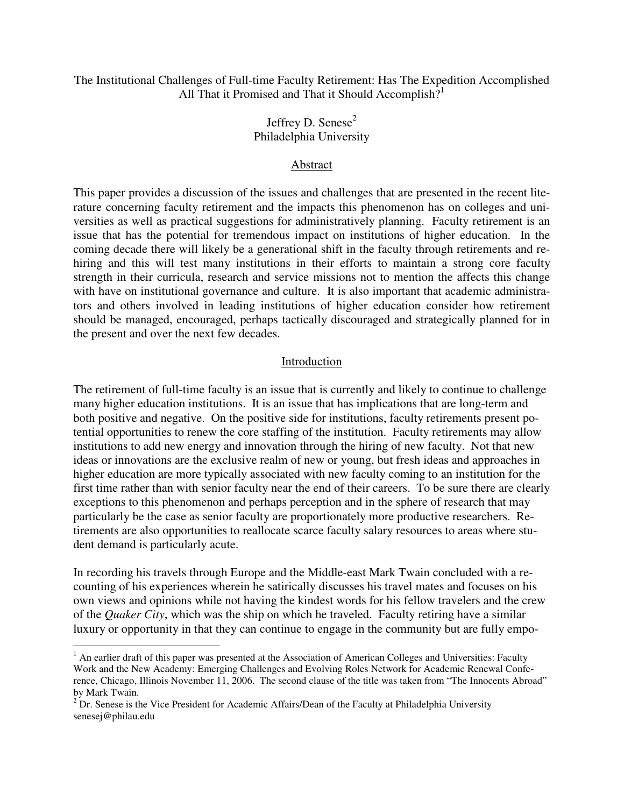The Institutional Challenges of Full-time Faculty Retirement: Has The Expedition Accomplished All That it Promised and That it Should Accomplish?<sup>1</sup>

## Jeffrey D. Senese $2$ Philadelphia University

## Abstract

This paper provides a discussion of the issues and challenges that are presented in the recent literature concerning faculty retirement and the impacts this phenomenon has on colleges and universities as well as practical suggestions for administratively planning. Faculty retirement is an issue that has the potential for tremendous impact on institutions of higher education. In the coming decade there will likely be a generational shift in the faculty through retirements and rehiring and this will test many institutions in their efforts to maintain a strong core faculty strength in their curricula, research and service missions not to mention the affects this change with have on institutional governance and culture. It is also important that academic administrators and others involved in leading institutions of higher education consider how retirement should be managed, encouraged, perhaps tactically discouraged and strategically planned for in the present and over the next few decades.

#### Introduction

The retirement of full-time faculty is an issue that is currently and likely to continue to challenge many higher education institutions. It is an issue that has implications that are long-term and both positive and negative. On the positive side for institutions, faculty retirements present potential opportunities to renew the core staffing of the institution. Faculty retirements may allow institutions to add new energy and innovation through the hiring of new faculty. Not that new ideas or innovations are the exclusive realm of new or young, but fresh ideas and approaches in higher education are more typically associated with new faculty coming to an institution for the first time rather than with senior faculty near the end of their careers. To be sure there are clearly exceptions to this phenomenon and perhaps perception and in the sphere of research that may particularly be the case as senior faculty are proportionately more productive researchers. Retirements are also opportunities to reallocate scarce faculty salary resources to areas where student demand is particularly acute.

In recording his travels through Europe and the Middle-east Mark Twain concluded with a recounting of his experiences wherein he satirically discusses his travel mates and focuses on his own views and opinions while not having the kindest words for his fellow travelers and the crew of the *Quaker City*, which was the ship on which he traveled. Faculty retiring have a similar luxury or opportunity in that they can continue to engage in the community but are fully empo-

 $\overline{a}$ 

<sup>&</sup>lt;sup>1</sup> An earlier draft of this paper was presented at the Association of American Colleges and Universities: Faculty Work and the New Academy: Emerging Challenges and Evolving Roles Network for Academic Renewal Conference, Chicago, Illinois November 11, 2006. The second clause of the title was taken from "The Innocents Abroad" by Mark Twain.

<sup>&</sup>lt;sup>2</sup> Dr. Senese is the Vice President for Academic Affairs/Dean of the Faculty at Philadelphia University senesej@philau.edu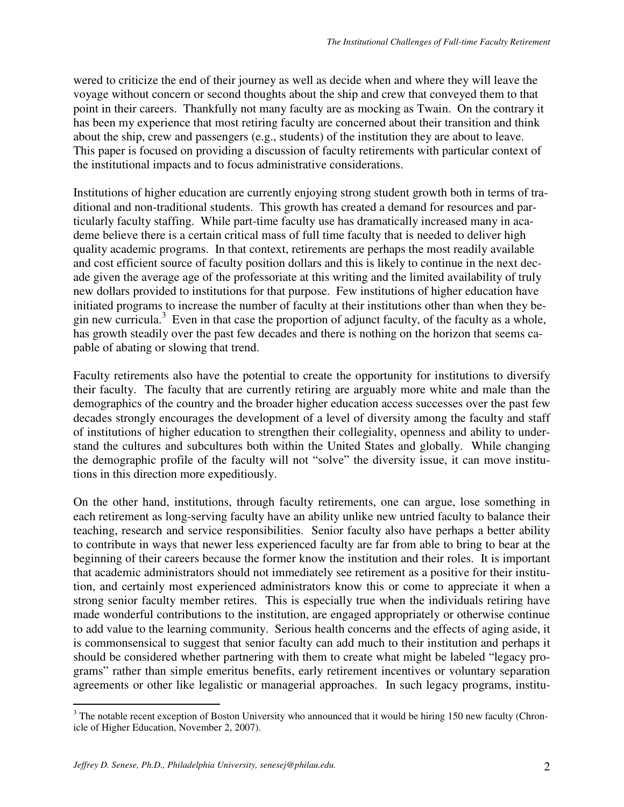wered to criticize the end of their journey as well as decide when and where they will leave the voyage without concern or second thoughts about the ship and crew that conveyed them to that point in their careers. Thankfully not many faculty are as mocking as Twain. On the contrary it has been my experience that most retiring faculty are concerned about their transition and think about the ship, crew and passengers (e.g., students) of the institution they are about to leave. This paper is focused on providing a discussion of faculty retirements with particular context of the institutional impacts and to focus administrative considerations.

Institutions of higher education are currently enjoying strong student growth both in terms of traditional and non-traditional students. This growth has created a demand for resources and particularly faculty staffing. While part-time faculty use has dramatically increased many in academe believe there is a certain critical mass of full time faculty that is needed to deliver high quality academic programs. In that context, retirements are perhaps the most readily available and cost efficient source of faculty position dollars and this is likely to continue in the next decade given the average age of the professoriate at this writing and the limited availability of truly new dollars provided to institutions for that purpose. Few institutions of higher education have initiated programs to increase the number of faculty at their institutions other than when they begin new curricula.<sup>3</sup> Even in that case the proportion of adjunct faculty, of the faculty as a whole, has growth steadily over the past few decades and there is nothing on the horizon that seems capable of abating or slowing that trend.

Faculty retirements also have the potential to create the opportunity for institutions to diversify their faculty. The faculty that are currently retiring are arguably more white and male than the demographics of the country and the broader higher education access successes over the past few decades strongly encourages the development of a level of diversity among the faculty and staff of institutions of higher education to strengthen their collegiality, openness and ability to understand the cultures and subcultures both within the United States and globally. While changing the demographic profile of the faculty will not "solve" the diversity issue, it can move institutions in this direction more expeditiously.

On the other hand, institutions, through faculty retirements, one can argue, lose something in each retirement as long-serving faculty have an ability unlike new untried faculty to balance their teaching, research and service responsibilities. Senior faculty also have perhaps a better ability to contribute in ways that newer less experienced faculty are far from able to bring to bear at the beginning of their careers because the former know the institution and their roles. It is important that academic administrators should not immediately see retirement as a positive for their institution, and certainly most experienced administrators know this or come to appreciate it when a strong senior faculty member retires. This is especially true when the individuals retiring have made wonderful contributions to the institution, are engaged appropriately or otherwise continue to add value to the learning community. Serious health concerns and the effects of aging aside, it is commonsensical to suggest that senior faculty can add much to their institution and perhaps it should be considered whether partnering with them to create what might be labeled "legacy programs" rather than simple emeritus benefits, early retirement incentives or voluntary separation agreements or other like legalistic or managerial approaches. In such legacy programs, institu-

<sup>&</sup>lt;sup>3</sup> The notable recent exception of Boston University who announced that it would be hiring 150 new faculty (Chronicle of Higher Education, November 2, 2007).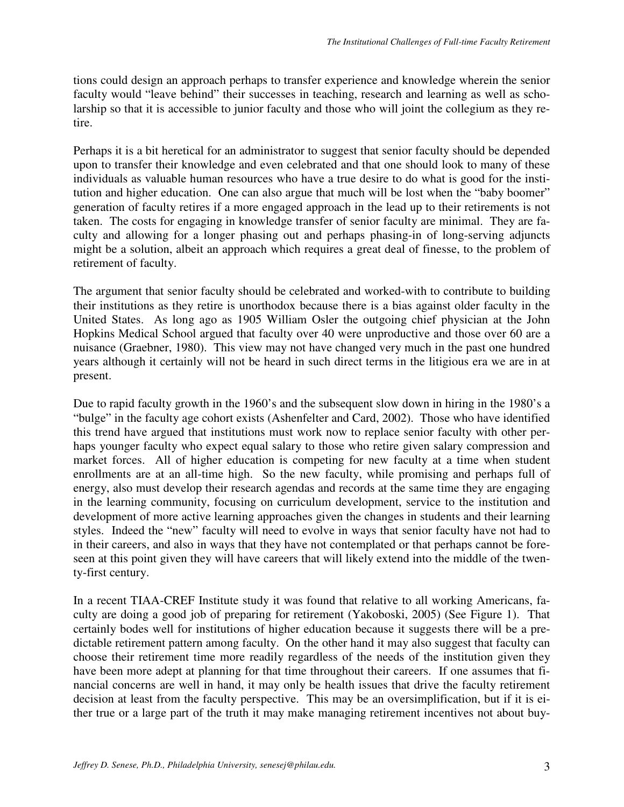tions could design an approach perhaps to transfer experience and knowledge wherein the senior faculty would "leave behind" their successes in teaching, research and learning as well as scholarship so that it is accessible to junior faculty and those who will joint the collegium as they retire.

Perhaps it is a bit heretical for an administrator to suggest that senior faculty should be depended upon to transfer their knowledge and even celebrated and that one should look to many of these individuals as valuable human resources who have a true desire to do what is good for the institution and higher education. One can also argue that much will be lost when the "baby boomer" generation of faculty retires if a more engaged approach in the lead up to their retirements is not taken. The costs for engaging in knowledge transfer of senior faculty are minimal. They are faculty and allowing for a longer phasing out and perhaps phasing-in of long-serving adjuncts might be a solution, albeit an approach which requires a great deal of finesse, to the problem of retirement of faculty.

The argument that senior faculty should be celebrated and worked-with to contribute to building their institutions as they retire is unorthodox because there is a bias against older faculty in the United States. As long ago as 1905 William Osler the outgoing chief physician at the John Hopkins Medical School argued that faculty over 40 were unproductive and those over 60 are a nuisance (Graebner, 1980). This view may not have changed very much in the past one hundred years although it certainly will not be heard in such direct terms in the litigious era we are in at present.

Due to rapid faculty growth in the 1960's and the subsequent slow down in hiring in the 1980's a "bulge" in the faculty age cohort exists (Ashenfelter and Card, 2002). Those who have identified this trend have argued that institutions must work now to replace senior faculty with other perhaps younger faculty who expect equal salary to those who retire given salary compression and market forces. All of higher education is competing for new faculty at a time when student enrollments are at an all-time high. So the new faculty, while promising and perhaps full of energy, also must develop their research agendas and records at the same time they are engaging in the learning community, focusing on curriculum development, service to the institution and development of more active learning approaches given the changes in students and their learning styles. Indeed the "new" faculty will need to evolve in ways that senior faculty have not had to in their careers, and also in ways that they have not contemplated or that perhaps cannot be foreseen at this point given they will have careers that will likely extend into the middle of the twenty-first century.

In a recent TIAA-CREF Institute study it was found that relative to all working Americans, faculty are doing a good job of preparing for retirement (Yakoboski, 2005) (See Figure 1). That certainly bodes well for institutions of higher education because it suggests there will be a predictable retirement pattern among faculty. On the other hand it may also suggest that faculty can choose their retirement time more readily regardless of the needs of the institution given they have been more adept at planning for that time throughout their careers. If one assumes that financial concerns are well in hand, it may only be health issues that drive the faculty retirement decision at least from the faculty perspective. This may be an oversimplification, but if it is either true or a large part of the truth it may make managing retirement incentives not about buy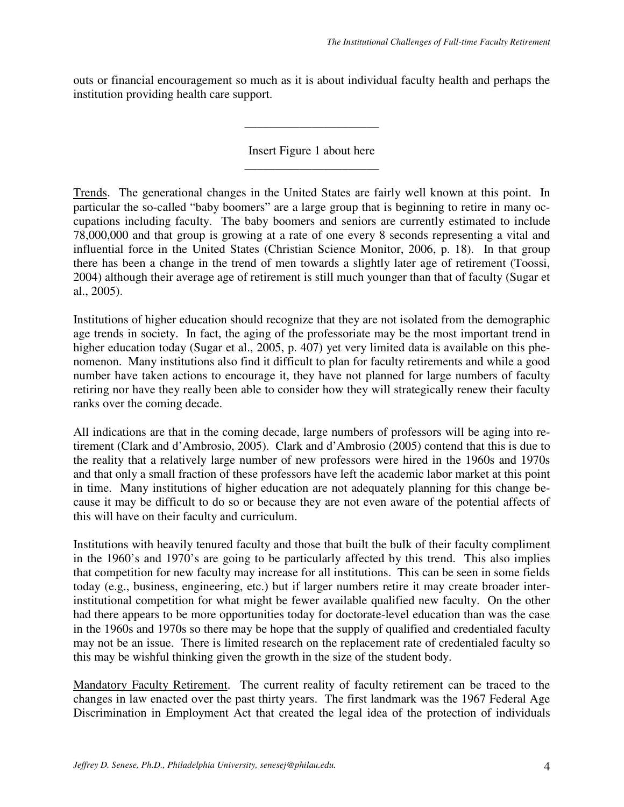outs or financial encouragement so much as it is about individual faculty health and perhaps the institution providing health care support.

> Insert Figure 1 about here \_\_\_\_\_\_\_\_\_\_\_\_\_\_\_\_\_\_\_\_\_\_

> \_\_\_\_\_\_\_\_\_\_\_\_\_\_\_\_\_\_\_\_\_\_

Trends. The generational changes in the United States are fairly well known at this point. In particular the so-called "baby boomers" are a large group that is beginning to retire in many occupations including faculty. The baby boomers and seniors are currently estimated to include 78,000,000 and that group is growing at a rate of one every 8 seconds representing a vital and influential force in the United States (Christian Science Monitor, 2006, p. 18). In that group there has been a change in the trend of men towards a slightly later age of retirement (Toossi, 2004) although their average age of retirement is still much younger than that of faculty (Sugar et al., 2005).

Institutions of higher education should recognize that they are not isolated from the demographic age trends in society. In fact, the aging of the professoriate may be the most important trend in higher education today (Sugar et al., 2005, p. 407) yet very limited data is available on this phenomenon. Many institutions also find it difficult to plan for faculty retirements and while a good number have taken actions to encourage it, they have not planned for large numbers of faculty retiring nor have they really been able to consider how they will strategically renew their faculty ranks over the coming decade.

All indications are that in the coming decade, large numbers of professors will be aging into retirement (Clark and d'Ambrosio, 2005). Clark and d'Ambrosio (2005) contend that this is due to the reality that a relatively large number of new professors were hired in the 1960s and 1970s and that only a small fraction of these professors have left the academic labor market at this point in time. Many institutions of higher education are not adequately planning for this change because it may be difficult to do so or because they are not even aware of the potential affects of this will have on their faculty and curriculum.

Institutions with heavily tenured faculty and those that built the bulk of their faculty compliment in the 1960's and 1970's are going to be particularly affected by this trend. This also implies that competition for new faculty may increase for all institutions. This can be seen in some fields today (e.g., business, engineering, etc.) but if larger numbers retire it may create broader interinstitutional competition for what might be fewer available qualified new faculty. On the other had there appears to be more opportunities today for doctorate-level education than was the case in the 1960s and 1970s so there may be hope that the supply of qualified and credentialed faculty may not be an issue. There is limited research on the replacement rate of credentialed faculty so this may be wishful thinking given the growth in the size of the student body.

Mandatory Faculty Retirement. The current reality of faculty retirement can be traced to the changes in law enacted over the past thirty years. The first landmark was the 1967 Federal Age Discrimination in Employment Act that created the legal idea of the protection of individuals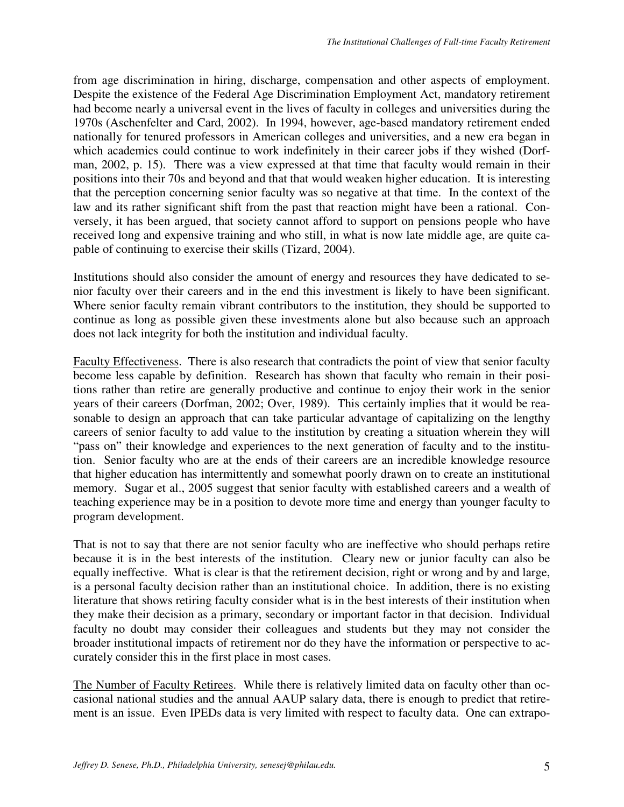from age discrimination in hiring, discharge, compensation and other aspects of employment. Despite the existence of the Federal Age Discrimination Employment Act, mandatory retirement had become nearly a universal event in the lives of faculty in colleges and universities during the 1970s (Aschenfelter and Card, 2002). In 1994, however, age-based mandatory retirement ended nationally for tenured professors in American colleges and universities, and a new era began in which academics could continue to work indefinitely in their career jobs if they wished (Dorfman, 2002, p. 15). There was a view expressed at that time that faculty would remain in their positions into their 70s and beyond and that that would weaken higher education. It is interesting that the perception concerning senior faculty was so negative at that time. In the context of the law and its rather significant shift from the past that reaction might have been a rational. Conversely, it has been argued, that society cannot afford to support on pensions people who have received long and expensive training and who still, in what is now late middle age, are quite capable of continuing to exercise their skills (Tizard, 2004).

Institutions should also consider the amount of energy and resources they have dedicated to senior faculty over their careers and in the end this investment is likely to have been significant. Where senior faculty remain vibrant contributors to the institution, they should be supported to continue as long as possible given these investments alone but also because such an approach does not lack integrity for both the institution and individual faculty.

Faculty Effectiveness. There is also research that contradicts the point of view that senior faculty become less capable by definition. Research has shown that faculty who remain in their positions rather than retire are generally productive and continue to enjoy their work in the senior years of their careers (Dorfman, 2002; Over, 1989). This certainly implies that it would be reasonable to design an approach that can take particular advantage of capitalizing on the lengthy careers of senior faculty to add value to the institution by creating a situation wherein they will "pass on" their knowledge and experiences to the next generation of faculty and to the institution. Senior faculty who are at the ends of their careers are an incredible knowledge resource that higher education has intermittently and somewhat poorly drawn on to create an institutional memory. Sugar et al., 2005 suggest that senior faculty with established careers and a wealth of teaching experience may be in a position to devote more time and energy than younger faculty to program development.

That is not to say that there are not senior faculty who are ineffective who should perhaps retire because it is in the best interests of the institution. Cleary new or junior faculty can also be equally ineffective. What is clear is that the retirement decision, right or wrong and by and large, is a personal faculty decision rather than an institutional choice. In addition, there is no existing literature that shows retiring faculty consider what is in the best interests of their institution when they make their decision as a primary, secondary or important factor in that decision. Individual faculty no doubt may consider their colleagues and students but they may not consider the broader institutional impacts of retirement nor do they have the information or perspective to accurately consider this in the first place in most cases.

The Number of Faculty Retirees. While there is relatively limited data on faculty other than occasional national studies and the annual AAUP salary data, there is enough to predict that retirement is an issue. Even IPEDs data is very limited with respect to faculty data. One can extrapo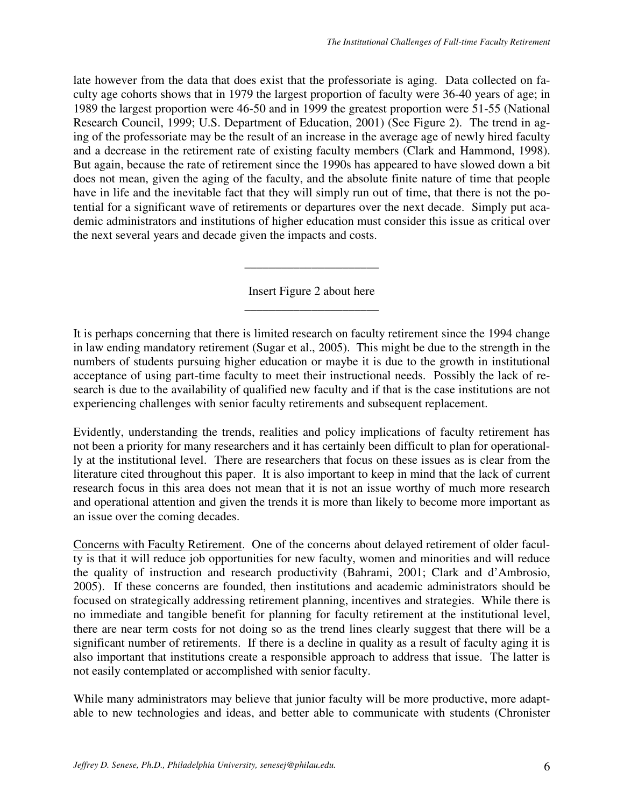late however from the data that does exist that the professoriate is aging. Data collected on faculty age cohorts shows that in 1979 the largest proportion of faculty were 36-40 years of age; in 1989 the largest proportion were 46-50 and in 1999 the greatest proportion were 51-55 (National Research Council, 1999; U.S. Department of Education, 2001) (See Figure 2). The trend in aging of the professoriate may be the result of an increase in the average age of newly hired faculty and a decrease in the retirement rate of existing faculty members (Clark and Hammond, 1998). But again, because the rate of retirement since the 1990s has appeared to have slowed down a bit does not mean, given the aging of the faculty, and the absolute finite nature of time that people have in life and the inevitable fact that they will simply run out of time, that there is not the potential for a significant wave of retirements or departures over the next decade. Simply put academic administrators and institutions of higher education must consider this issue as critical over the next several years and decade given the impacts and costs.

> Insert Figure 2 about here \_\_\_\_\_\_\_\_\_\_\_\_\_\_\_\_\_\_\_\_\_\_

> \_\_\_\_\_\_\_\_\_\_\_\_\_\_\_\_\_\_\_\_\_\_

It is perhaps concerning that there is limited research on faculty retirement since the 1994 change in law ending mandatory retirement (Sugar et al., 2005). This might be due to the strength in the numbers of students pursuing higher education or maybe it is due to the growth in institutional acceptance of using part-time faculty to meet their instructional needs. Possibly the lack of research is due to the availability of qualified new faculty and if that is the case institutions are not experiencing challenges with senior faculty retirements and subsequent replacement.

Evidently, understanding the trends, realities and policy implications of faculty retirement has not been a priority for many researchers and it has certainly been difficult to plan for operationally at the institutional level. There are researchers that focus on these issues as is clear from the literature cited throughout this paper. It is also important to keep in mind that the lack of current research focus in this area does not mean that it is not an issue worthy of much more research and operational attention and given the trends it is more than likely to become more important as an issue over the coming decades.

Concerns with Faculty Retirement. One of the concerns about delayed retirement of older faculty is that it will reduce job opportunities for new faculty, women and minorities and will reduce the quality of instruction and research productivity (Bahrami, 2001; Clark and d'Ambrosio, 2005). If these concerns are founded, then institutions and academic administrators should be focused on strategically addressing retirement planning, incentives and strategies. While there is no immediate and tangible benefit for planning for faculty retirement at the institutional level, there are near term costs for not doing so as the trend lines clearly suggest that there will be a significant number of retirements. If there is a decline in quality as a result of faculty aging it is also important that institutions create a responsible approach to address that issue. The latter is not easily contemplated or accomplished with senior faculty.

While many administrators may believe that junior faculty will be more productive, more adaptable to new technologies and ideas, and better able to communicate with students (Chronister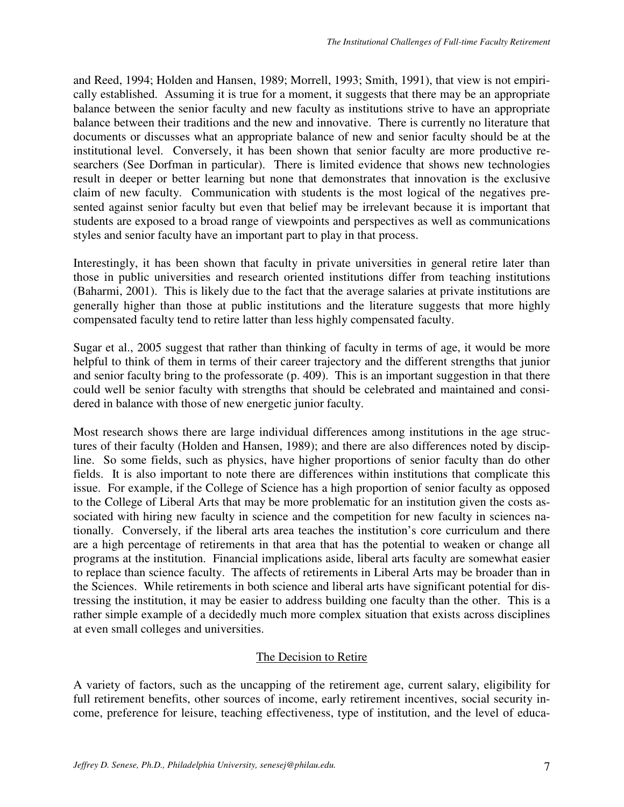and Reed, 1994; Holden and Hansen, 1989; Morrell, 1993; Smith, 1991), that view is not empirically established. Assuming it is true for a moment, it suggests that there may be an appropriate balance between the senior faculty and new faculty as institutions strive to have an appropriate balance between their traditions and the new and innovative. There is currently no literature that documents or discusses what an appropriate balance of new and senior faculty should be at the institutional level. Conversely, it has been shown that senior faculty are more productive researchers (See Dorfman in particular). There is limited evidence that shows new technologies result in deeper or better learning but none that demonstrates that innovation is the exclusive claim of new faculty. Communication with students is the most logical of the negatives presented against senior faculty but even that belief may be irrelevant because it is important that students are exposed to a broad range of viewpoints and perspectives as well as communications styles and senior faculty have an important part to play in that process.

Interestingly, it has been shown that faculty in private universities in general retire later than those in public universities and research oriented institutions differ from teaching institutions (Baharmi, 2001). This is likely due to the fact that the average salaries at private institutions are generally higher than those at public institutions and the literature suggests that more highly compensated faculty tend to retire latter than less highly compensated faculty.

Sugar et al., 2005 suggest that rather than thinking of faculty in terms of age, it would be more helpful to think of them in terms of their career trajectory and the different strengths that junior and senior faculty bring to the professorate (p. 409). This is an important suggestion in that there could well be senior faculty with strengths that should be celebrated and maintained and considered in balance with those of new energetic junior faculty.

Most research shows there are large individual differences among institutions in the age structures of their faculty (Holden and Hansen, 1989); and there are also differences noted by discipline. So some fields, such as physics, have higher proportions of senior faculty than do other fields. It is also important to note there are differences within institutions that complicate this issue. For example, if the College of Science has a high proportion of senior faculty as opposed to the College of Liberal Arts that may be more problematic for an institution given the costs associated with hiring new faculty in science and the competition for new faculty in sciences nationally. Conversely, if the liberal arts area teaches the institution's core curriculum and there are a high percentage of retirements in that area that has the potential to weaken or change all programs at the institution. Financial implications aside, liberal arts faculty are somewhat easier to replace than science faculty. The affects of retirements in Liberal Arts may be broader than in the Sciences. While retirements in both science and liberal arts have significant potential for distressing the institution, it may be easier to address building one faculty than the other. This is a rather simple example of a decidedly much more complex situation that exists across disciplines at even small colleges and universities.

## The Decision to Retire

A variety of factors, such as the uncapping of the retirement age, current salary, eligibility for full retirement benefits, other sources of income, early retirement incentives, social security income, preference for leisure, teaching effectiveness, type of institution, and the level of educa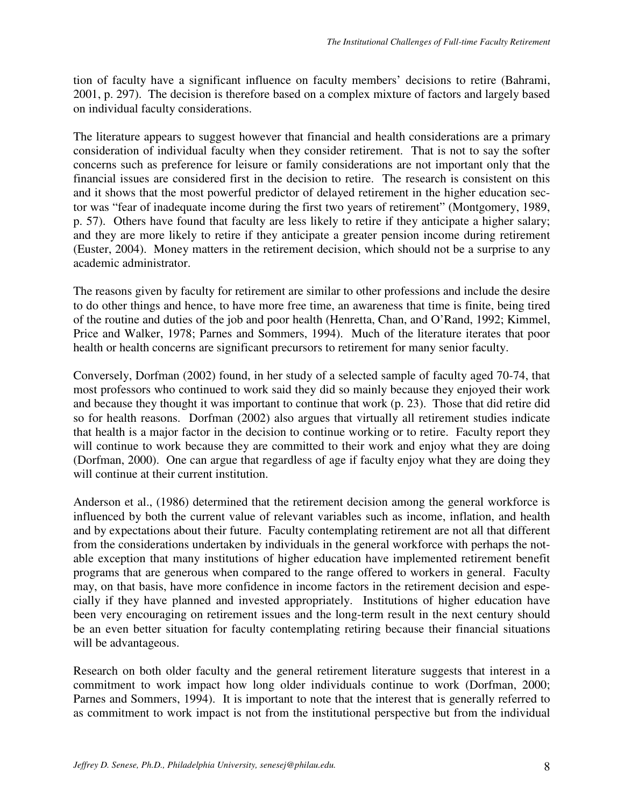tion of faculty have a significant influence on faculty members' decisions to retire (Bahrami, 2001, p. 297). The decision is therefore based on a complex mixture of factors and largely based on individual faculty considerations.

The literature appears to suggest however that financial and health considerations are a primary consideration of individual faculty when they consider retirement. That is not to say the softer concerns such as preference for leisure or family considerations are not important only that the financial issues are considered first in the decision to retire. The research is consistent on this and it shows that the most powerful predictor of delayed retirement in the higher education sector was "fear of inadequate income during the first two years of retirement" (Montgomery, 1989, p. 57). Others have found that faculty are less likely to retire if they anticipate a higher salary; and they are more likely to retire if they anticipate a greater pension income during retirement (Euster, 2004). Money matters in the retirement decision, which should not be a surprise to any academic administrator.

The reasons given by faculty for retirement are similar to other professions and include the desire to do other things and hence, to have more free time, an awareness that time is finite, being tired of the routine and duties of the job and poor health (Henretta, Chan, and O'Rand, 1992; Kimmel, Price and Walker, 1978; Parnes and Sommers, 1994). Much of the literature iterates that poor health or health concerns are significant precursors to retirement for many senior faculty.

Conversely, Dorfman (2002) found, in her study of a selected sample of faculty aged 70-74, that most professors who continued to work said they did so mainly because they enjoyed their work and because they thought it was important to continue that work (p. 23). Those that did retire did so for health reasons. Dorfman (2002) also argues that virtually all retirement studies indicate that health is a major factor in the decision to continue working or to retire. Faculty report they will continue to work because they are committed to their work and enjoy what they are doing (Dorfman, 2000). One can argue that regardless of age if faculty enjoy what they are doing they will continue at their current institution.

Anderson et al., (1986) determined that the retirement decision among the general workforce is influenced by both the current value of relevant variables such as income, inflation, and health and by expectations about their future. Faculty contemplating retirement are not all that different from the considerations undertaken by individuals in the general workforce with perhaps the notable exception that many institutions of higher education have implemented retirement benefit programs that are generous when compared to the range offered to workers in general. Faculty may, on that basis, have more confidence in income factors in the retirement decision and especially if they have planned and invested appropriately. Institutions of higher education have been very encouraging on retirement issues and the long-term result in the next century should be an even better situation for faculty contemplating retiring because their financial situations will be advantageous.

Research on both older faculty and the general retirement literature suggests that interest in a commitment to work impact how long older individuals continue to work (Dorfman, 2000; Parnes and Sommers, 1994). It is important to note that the interest that is generally referred to as commitment to work impact is not from the institutional perspective but from the individual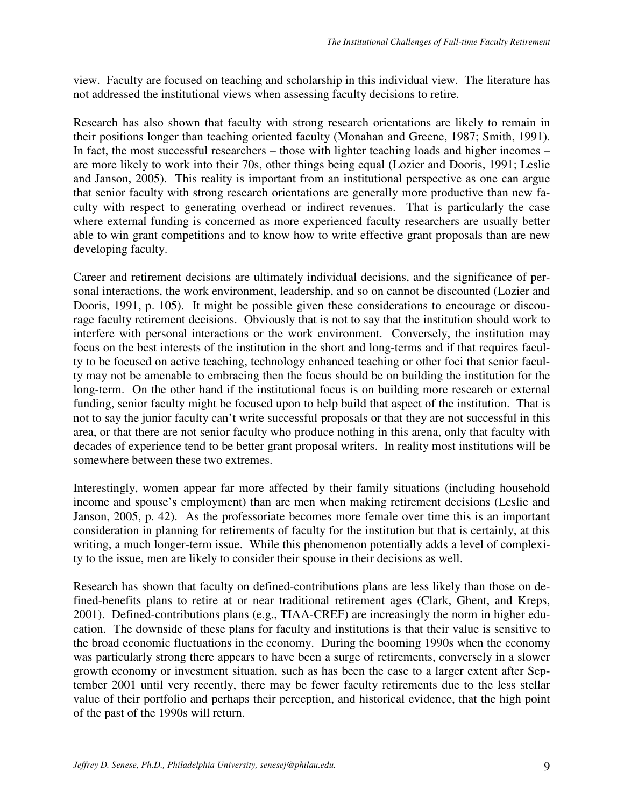view. Faculty are focused on teaching and scholarship in this individual view. The literature has not addressed the institutional views when assessing faculty decisions to retire.

Research has also shown that faculty with strong research orientations are likely to remain in their positions longer than teaching oriented faculty (Monahan and Greene, 1987; Smith, 1991). In fact, the most successful researchers – those with lighter teaching loads and higher incomes – are more likely to work into their 70s, other things being equal (Lozier and Dooris, 1991; Leslie and Janson, 2005). This reality is important from an institutional perspective as one can argue that senior faculty with strong research orientations are generally more productive than new faculty with respect to generating overhead or indirect revenues. That is particularly the case where external funding is concerned as more experienced faculty researchers are usually better able to win grant competitions and to know how to write effective grant proposals than are new developing faculty.

Career and retirement decisions are ultimately individual decisions, and the significance of personal interactions, the work environment, leadership, and so on cannot be discounted (Lozier and Dooris, 1991, p. 105). It might be possible given these considerations to encourage or discourage faculty retirement decisions. Obviously that is not to say that the institution should work to interfere with personal interactions or the work environment. Conversely, the institution may focus on the best interests of the institution in the short and long-terms and if that requires faculty to be focused on active teaching, technology enhanced teaching or other foci that senior faculty may not be amenable to embracing then the focus should be on building the institution for the long-term. On the other hand if the institutional focus is on building more research or external funding, senior faculty might be focused upon to help build that aspect of the institution. That is not to say the junior faculty can't write successful proposals or that they are not successful in this area, or that there are not senior faculty who produce nothing in this arena, only that faculty with decades of experience tend to be better grant proposal writers. In reality most institutions will be somewhere between these two extremes.

Interestingly, women appear far more affected by their family situations (including household income and spouse's employment) than are men when making retirement decisions (Leslie and Janson, 2005, p. 42). As the professoriate becomes more female over time this is an important consideration in planning for retirements of faculty for the institution but that is certainly, at this writing, a much longer-term issue. While this phenomenon potentially adds a level of complexity to the issue, men are likely to consider their spouse in their decisions as well.

Research has shown that faculty on defined-contributions plans are less likely than those on defined-benefits plans to retire at or near traditional retirement ages (Clark, Ghent, and Kreps, 2001). Defined-contributions plans (e.g., TIAA-CREF) are increasingly the norm in higher education. The downside of these plans for faculty and institutions is that their value is sensitive to the broad economic fluctuations in the economy. During the booming 1990s when the economy was particularly strong there appears to have been a surge of retirements, conversely in a slower growth economy or investment situation, such as has been the case to a larger extent after September 2001 until very recently, there may be fewer faculty retirements due to the less stellar value of their portfolio and perhaps their perception, and historical evidence, that the high point of the past of the 1990s will return.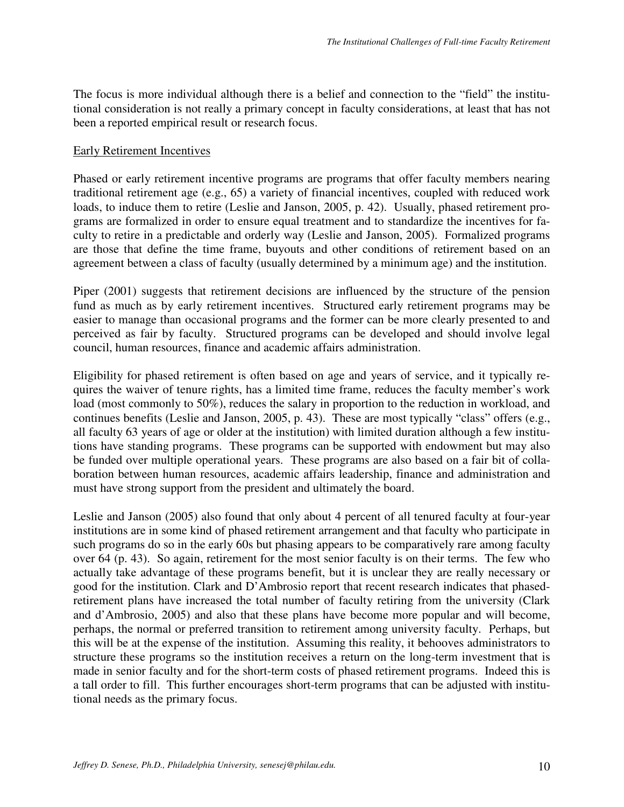The focus is more individual although there is a belief and connection to the "field" the institutional consideration is not really a primary concept in faculty considerations, at least that has not been a reported empirical result or research focus.

## Early Retirement Incentives

Phased or early retirement incentive programs are programs that offer faculty members nearing traditional retirement age (e.g., 65) a variety of financial incentives, coupled with reduced work loads, to induce them to retire (Leslie and Janson, 2005, p. 42). Usually, phased retirement programs are formalized in order to ensure equal treatment and to standardize the incentives for faculty to retire in a predictable and orderly way (Leslie and Janson, 2005). Formalized programs are those that define the time frame, buyouts and other conditions of retirement based on an agreement between a class of faculty (usually determined by a minimum age) and the institution.

Piper (2001) suggests that retirement decisions are influenced by the structure of the pension fund as much as by early retirement incentives. Structured early retirement programs may be easier to manage than occasional programs and the former can be more clearly presented to and perceived as fair by faculty. Structured programs can be developed and should involve legal council, human resources, finance and academic affairs administration.

Eligibility for phased retirement is often based on age and years of service, and it typically requires the waiver of tenure rights, has a limited time frame, reduces the faculty member's work load (most commonly to 50%), reduces the salary in proportion to the reduction in workload, and continues benefits (Leslie and Janson, 2005, p. 43). These are most typically "class" offers (e.g., all faculty 63 years of age or older at the institution) with limited duration although a few institutions have standing programs. These programs can be supported with endowment but may also be funded over multiple operational years. These programs are also based on a fair bit of collaboration between human resources, academic affairs leadership, finance and administration and must have strong support from the president and ultimately the board.

Leslie and Janson (2005) also found that only about 4 percent of all tenured faculty at four-year institutions are in some kind of phased retirement arrangement and that faculty who participate in such programs do so in the early 60s but phasing appears to be comparatively rare among faculty over 64 (p. 43). So again, retirement for the most senior faculty is on their terms. The few who actually take advantage of these programs benefit, but it is unclear they are really necessary or good for the institution. Clark and D'Ambrosio report that recent research indicates that phasedretirement plans have increased the total number of faculty retiring from the university (Clark and d'Ambrosio, 2005) and also that these plans have become more popular and will become, perhaps, the normal or preferred transition to retirement among university faculty. Perhaps, but this will be at the expense of the institution. Assuming this reality, it behooves administrators to structure these programs so the institution receives a return on the long-term investment that is made in senior faculty and for the short-term costs of phased retirement programs. Indeed this is a tall order to fill. This further encourages short-term programs that can be adjusted with institutional needs as the primary focus.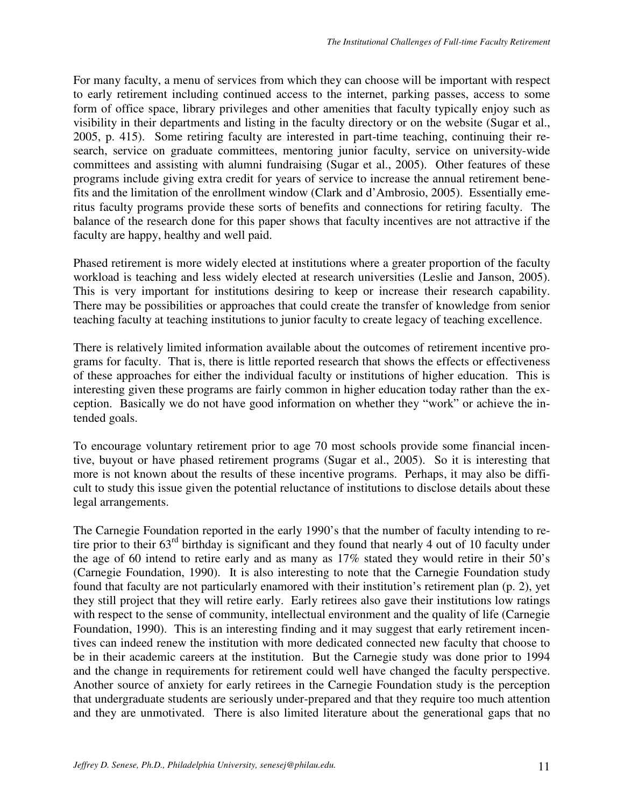For many faculty, a menu of services from which they can choose will be important with respect to early retirement including continued access to the internet, parking passes, access to some form of office space, library privileges and other amenities that faculty typically enjoy such as visibility in their departments and listing in the faculty directory or on the website (Sugar et al., 2005, p. 415). Some retiring faculty are interested in part-time teaching, continuing their research, service on graduate committees, mentoring junior faculty, service on university-wide committees and assisting with alumni fundraising (Sugar et al., 2005). Other features of these programs include giving extra credit for years of service to increase the annual retirement benefits and the limitation of the enrollment window (Clark and d'Ambrosio, 2005). Essentially emeritus faculty programs provide these sorts of benefits and connections for retiring faculty. The balance of the research done for this paper shows that faculty incentives are not attractive if the faculty are happy, healthy and well paid.

Phased retirement is more widely elected at institutions where a greater proportion of the faculty workload is teaching and less widely elected at research universities (Leslie and Janson, 2005). This is very important for institutions desiring to keep or increase their research capability. There may be possibilities or approaches that could create the transfer of knowledge from senior teaching faculty at teaching institutions to junior faculty to create legacy of teaching excellence.

There is relatively limited information available about the outcomes of retirement incentive programs for faculty. That is, there is little reported research that shows the effects or effectiveness of these approaches for either the individual faculty or institutions of higher education. This is interesting given these programs are fairly common in higher education today rather than the exception. Basically we do not have good information on whether they "work" or achieve the intended goals.

To encourage voluntary retirement prior to age 70 most schools provide some financial incentive, buyout or have phased retirement programs (Sugar et al., 2005). So it is interesting that more is not known about the results of these incentive programs. Perhaps, it may also be difficult to study this issue given the potential reluctance of institutions to disclose details about these legal arrangements.

The Carnegie Foundation reported in the early 1990's that the number of faculty intending to retire prior to their 63<sup>rd</sup> birthday is significant and they found that nearly 4 out of 10 faculty under the age of 60 intend to retire early and as many as 17% stated they would retire in their 50's (Carnegie Foundation, 1990). It is also interesting to note that the Carnegie Foundation study found that faculty are not particularly enamored with their institution's retirement plan (p. 2), yet they still project that they will retire early. Early retirees also gave their institutions low ratings with respect to the sense of community, intellectual environment and the quality of life (Carnegie Foundation, 1990). This is an interesting finding and it may suggest that early retirement incentives can indeed renew the institution with more dedicated connected new faculty that choose to be in their academic careers at the institution. But the Carnegie study was done prior to 1994 and the change in requirements for retirement could well have changed the faculty perspective. Another source of anxiety for early retirees in the Carnegie Foundation study is the perception that undergraduate students are seriously under-prepared and that they require too much attention and they are unmotivated. There is also limited literature about the generational gaps that no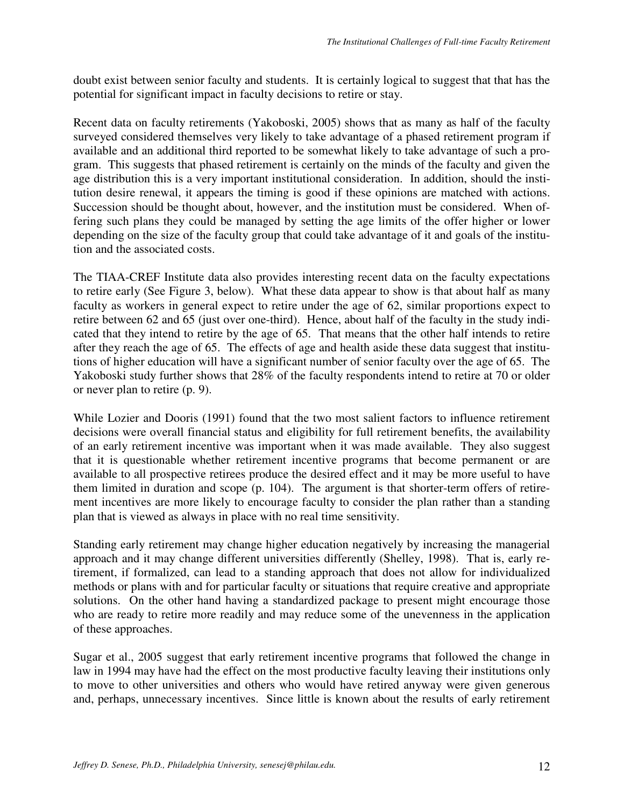doubt exist between senior faculty and students. It is certainly logical to suggest that that has the potential for significant impact in faculty decisions to retire or stay.

Recent data on faculty retirements (Yakoboski, 2005) shows that as many as half of the faculty surveyed considered themselves very likely to take advantage of a phased retirement program if available and an additional third reported to be somewhat likely to take advantage of such a program. This suggests that phased retirement is certainly on the minds of the faculty and given the age distribution this is a very important institutional consideration. In addition, should the institution desire renewal, it appears the timing is good if these opinions are matched with actions. Succession should be thought about, however, and the institution must be considered. When offering such plans they could be managed by setting the age limits of the offer higher or lower depending on the size of the faculty group that could take advantage of it and goals of the institution and the associated costs.

The TIAA-CREF Institute data also provides interesting recent data on the faculty expectations to retire early (See Figure 3, below). What these data appear to show is that about half as many faculty as workers in general expect to retire under the age of 62, similar proportions expect to retire between 62 and 65 (just over one-third). Hence, about half of the faculty in the study indicated that they intend to retire by the age of 65. That means that the other half intends to retire after they reach the age of 65. The effects of age and health aside these data suggest that institutions of higher education will have a significant number of senior faculty over the age of 65. The Yakoboski study further shows that 28% of the faculty respondents intend to retire at 70 or older or never plan to retire (p. 9).

While Lozier and Dooris (1991) found that the two most salient factors to influence retirement decisions were overall financial status and eligibility for full retirement benefits, the availability of an early retirement incentive was important when it was made available. They also suggest that it is questionable whether retirement incentive programs that become permanent or are available to all prospective retirees produce the desired effect and it may be more useful to have them limited in duration and scope (p. 104). The argument is that shorter-term offers of retirement incentives are more likely to encourage faculty to consider the plan rather than a standing plan that is viewed as always in place with no real time sensitivity.

Standing early retirement may change higher education negatively by increasing the managerial approach and it may change different universities differently (Shelley, 1998). That is, early retirement, if formalized, can lead to a standing approach that does not allow for individualized methods or plans with and for particular faculty or situations that require creative and appropriate solutions. On the other hand having a standardized package to present might encourage those who are ready to retire more readily and may reduce some of the unevenness in the application of these approaches.

Sugar et al., 2005 suggest that early retirement incentive programs that followed the change in law in 1994 may have had the effect on the most productive faculty leaving their institutions only to move to other universities and others who would have retired anyway were given generous and, perhaps, unnecessary incentives. Since little is known about the results of early retirement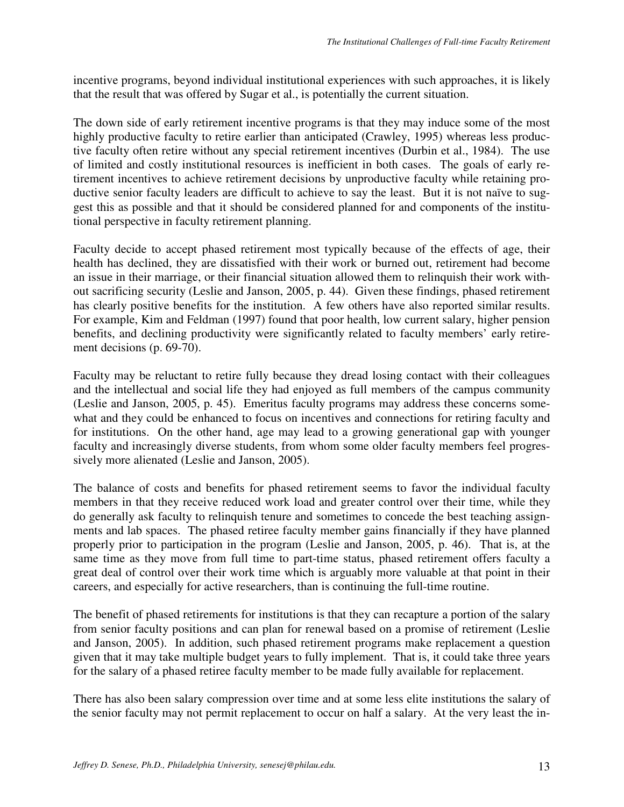incentive programs, beyond individual institutional experiences with such approaches, it is likely that the result that was offered by Sugar et al., is potentially the current situation.

The down side of early retirement incentive programs is that they may induce some of the most highly productive faculty to retire earlier than anticipated (Crawley, 1995) whereas less productive faculty often retire without any special retirement incentives (Durbin et al., 1984). The use of limited and costly institutional resources is inefficient in both cases. The goals of early retirement incentives to achieve retirement decisions by unproductive faculty while retaining productive senior faculty leaders are difficult to achieve to say the least. But it is not naïve to suggest this as possible and that it should be considered planned for and components of the institutional perspective in faculty retirement planning.

Faculty decide to accept phased retirement most typically because of the effects of age, their health has declined, they are dissatisfied with their work or burned out, retirement had become an issue in their marriage, or their financial situation allowed them to relinquish their work without sacrificing security (Leslie and Janson, 2005, p. 44). Given these findings, phased retirement has clearly positive benefits for the institution. A few others have also reported similar results. For example, Kim and Feldman (1997) found that poor health, low current salary, higher pension benefits, and declining productivity were significantly related to faculty members' early retirement decisions (p. 69-70).

Faculty may be reluctant to retire fully because they dread losing contact with their colleagues and the intellectual and social life they had enjoyed as full members of the campus community (Leslie and Janson, 2005, p. 45). Emeritus faculty programs may address these concerns somewhat and they could be enhanced to focus on incentives and connections for retiring faculty and for institutions. On the other hand, age may lead to a growing generational gap with younger faculty and increasingly diverse students, from whom some older faculty members feel progressively more alienated (Leslie and Janson, 2005).

The balance of costs and benefits for phased retirement seems to favor the individual faculty members in that they receive reduced work load and greater control over their time, while they do generally ask faculty to relinquish tenure and sometimes to concede the best teaching assignments and lab spaces. The phased retiree faculty member gains financially if they have planned properly prior to participation in the program (Leslie and Janson, 2005, p. 46). That is, at the same time as they move from full time to part-time status, phased retirement offers faculty a great deal of control over their work time which is arguably more valuable at that point in their careers, and especially for active researchers, than is continuing the full-time routine.

The benefit of phased retirements for institutions is that they can recapture a portion of the salary from senior faculty positions and can plan for renewal based on a promise of retirement (Leslie and Janson, 2005). In addition, such phased retirement programs make replacement a question given that it may take multiple budget years to fully implement. That is, it could take three years for the salary of a phased retiree faculty member to be made fully available for replacement.

There has also been salary compression over time and at some less elite institutions the salary of the senior faculty may not permit replacement to occur on half a salary. At the very least the in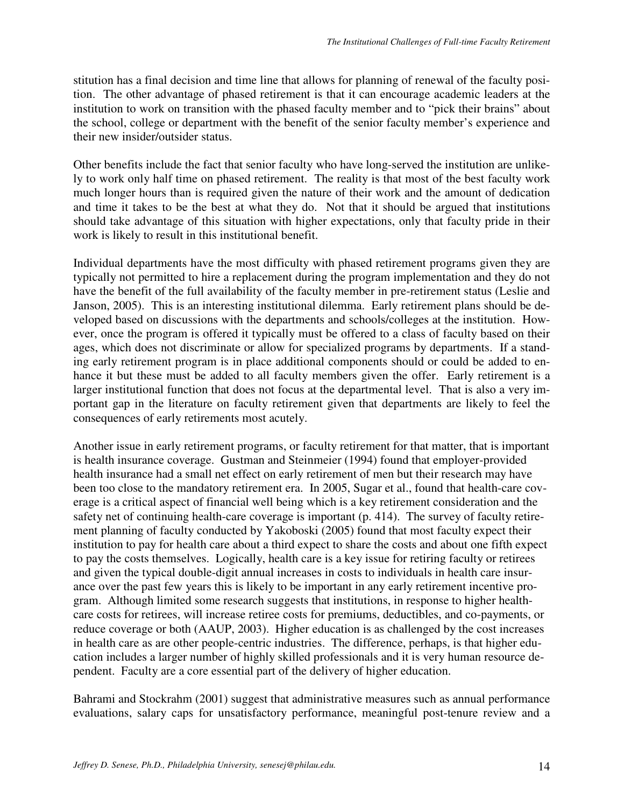stitution has a final decision and time line that allows for planning of renewal of the faculty position. The other advantage of phased retirement is that it can encourage academic leaders at the institution to work on transition with the phased faculty member and to "pick their brains" about the school, college or department with the benefit of the senior faculty member's experience and their new insider/outsider status.

Other benefits include the fact that senior faculty who have long-served the institution are unlikely to work only half time on phased retirement. The reality is that most of the best faculty work much longer hours than is required given the nature of their work and the amount of dedication and time it takes to be the best at what they do. Not that it should be argued that institutions should take advantage of this situation with higher expectations, only that faculty pride in their work is likely to result in this institutional benefit.

Individual departments have the most difficulty with phased retirement programs given they are typically not permitted to hire a replacement during the program implementation and they do not have the benefit of the full availability of the faculty member in pre-retirement status (Leslie and Janson, 2005). This is an interesting institutional dilemma. Early retirement plans should be developed based on discussions with the departments and schools/colleges at the institution. However, once the program is offered it typically must be offered to a class of faculty based on their ages, which does not discriminate or allow for specialized programs by departments. If a standing early retirement program is in place additional components should or could be added to enhance it but these must be added to all faculty members given the offer. Early retirement is a larger institutional function that does not focus at the departmental level. That is also a very important gap in the literature on faculty retirement given that departments are likely to feel the consequences of early retirements most acutely.

Another issue in early retirement programs, or faculty retirement for that matter, that is important is health insurance coverage. Gustman and Steinmeier (1994) found that employer-provided health insurance had a small net effect on early retirement of men but their research may have been too close to the mandatory retirement era. In 2005, Sugar et al., found that health-care coverage is a critical aspect of financial well being which is a key retirement consideration and the safety net of continuing health-care coverage is important (p. 414). The survey of faculty retirement planning of faculty conducted by Yakoboski (2005) found that most faculty expect their institution to pay for health care about a third expect to share the costs and about one fifth expect to pay the costs themselves. Logically, health care is a key issue for retiring faculty or retirees and given the typical double-digit annual increases in costs to individuals in health care insurance over the past few years this is likely to be important in any early retirement incentive program. Although limited some research suggests that institutions, in response to higher healthcare costs for retirees, will increase retiree costs for premiums, deductibles, and co-payments, or reduce coverage or both (AAUP, 2003). Higher education is as challenged by the cost increases in health care as are other people-centric industries. The difference, perhaps, is that higher education includes a larger number of highly skilled professionals and it is very human resource dependent. Faculty are a core essential part of the delivery of higher education.

Bahrami and Stockrahm (2001) suggest that administrative measures such as annual performance evaluations, salary caps for unsatisfactory performance, meaningful post-tenure review and a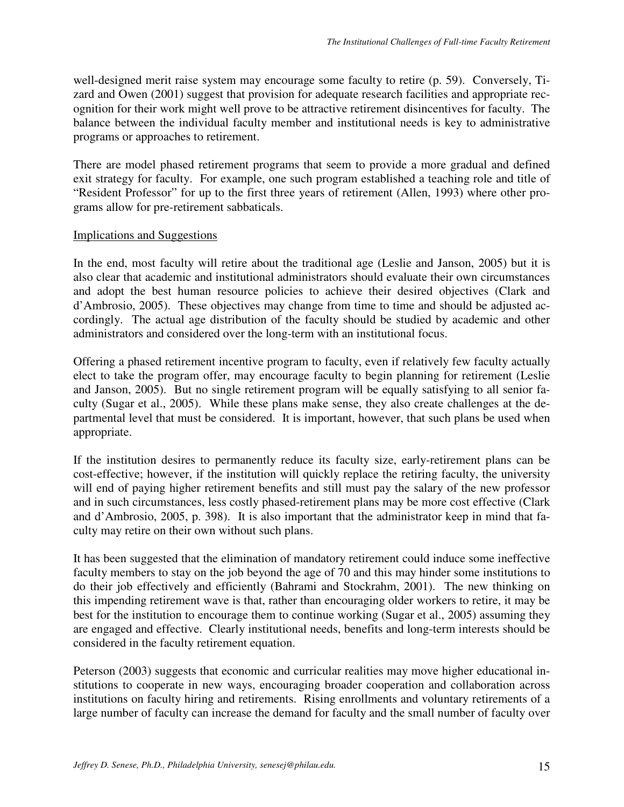well-designed merit raise system may encourage some faculty to retire (p. 59). Conversely, Tizard and Owen (2001) suggest that provision for adequate research facilities and appropriate recognition for their work might well prove to be attractive retirement disincentives for faculty. The balance between the individual faculty member and institutional needs is key to administrative programs or approaches to retirement.

There are model phased retirement programs that seem to provide a more gradual and defined exit strategy for faculty. For example, one such program established a teaching role and title of "Resident Professor" for up to the first three years of retirement (Allen, 1993) where other programs allow for pre-retirement sabbaticals.

## Implications and Suggestions

In the end, most faculty will retire about the traditional age (Leslie and Janson, 2005) but it is also clear that academic and institutional administrators should evaluate their own circumstances and adopt the best human resource policies to achieve their desired objectives (Clark and d'Ambrosio, 2005). These objectives may change from time to time and should be adjusted accordingly. The actual age distribution of the faculty should be studied by academic and other administrators and considered over the long-term with an institutional focus.

Offering a phased retirement incentive program to faculty, even if relatively few faculty actually elect to take the program offer, may encourage faculty to begin planning for retirement (Leslie and Janson, 2005). But no single retirement program will be equally satisfying to all senior faculty (Sugar et al., 2005). While these plans make sense, they also create challenges at the departmental level that must be considered. It is important, however, that such plans be used when appropriate.

If the institution desires to permanently reduce its faculty size, early-retirement plans can be cost-effective; however, if the institution will quickly replace the retiring faculty, the university will end of paying higher retirement benefits and still must pay the salary of the new professor and in such circumstances, less costly phased-retirement plans may be more cost effective (Clark and d'Ambrosio, 2005, p. 398). It is also important that the administrator keep in mind that faculty may retire on their own without such plans.

It has been suggested that the elimination of mandatory retirement could induce some ineffective faculty members to stay on the job beyond the age of 70 and this may hinder some institutions to do their job effectively and efficiently (Bahrami and Stockrahm, 2001). The new thinking on this impending retirement wave is that, rather than encouraging older workers to retire, it may be best for the institution to encourage them to continue working (Sugar et al., 2005) assuming they are engaged and effective. Clearly institutional needs, benefits and long-term interests should be considered in the faculty retirement equation.

Peterson (2003) suggests that economic and curricular realities may move higher educational institutions to cooperate in new ways, encouraging broader cooperation and collaboration across institutions on faculty hiring and retirements. Rising enrollments and voluntary retirements of a large number of faculty can increase the demand for faculty and the small number of faculty over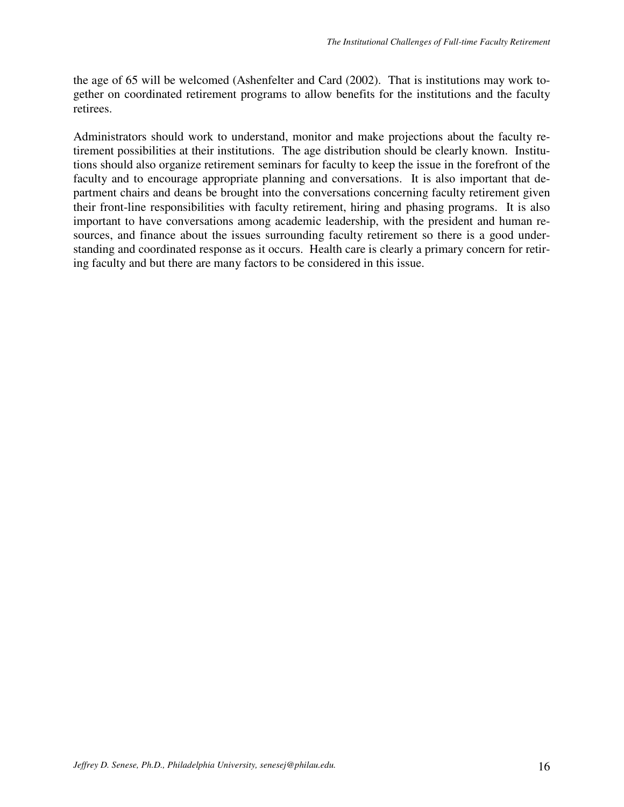the age of 65 will be welcomed (Ashenfelter and Card (2002). That is institutions may work together on coordinated retirement programs to allow benefits for the institutions and the faculty retirees.

Administrators should work to understand, monitor and make projections about the faculty retirement possibilities at their institutions. The age distribution should be clearly known. Institutions should also organize retirement seminars for faculty to keep the issue in the forefront of the faculty and to encourage appropriate planning and conversations. It is also important that department chairs and deans be brought into the conversations concerning faculty retirement given their front-line responsibilities with faculty retirement, hiring and phasing programs. It is also important to have conversations among academic leadership, with the president and human resources, and finance about the issues surrounding faculty retirement so there is a good understanding and coordinated response as it occurs. Health care is clearly a primary concern for retiring faculty and but there are many factors to be considered in this issue.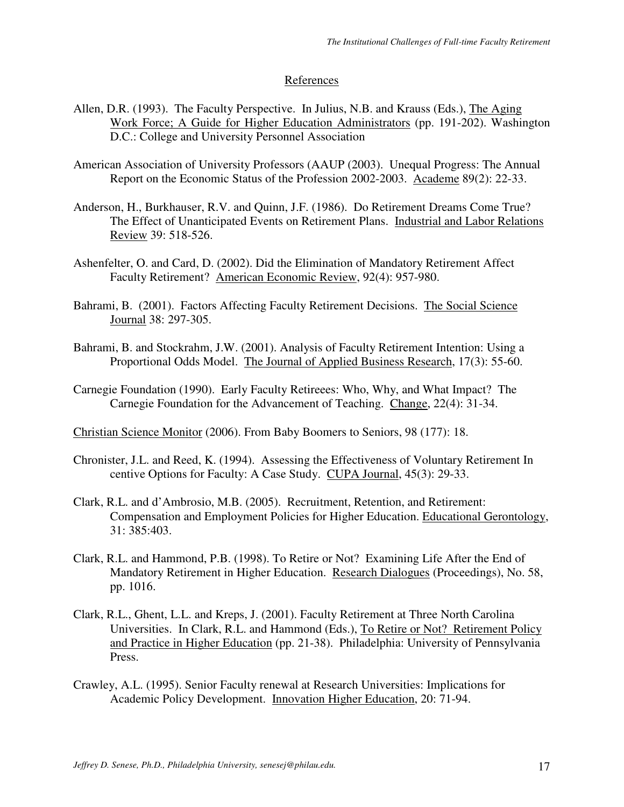## References

- Allen, D.R. (1993). The Faculty Perspective. In Julius, N.B. and Krauss (Eds.), The Aging Work Force; A Guide for Higher Education Administrators (pp. 191-202). Washington D.C.: College and University Personnel Association
- American Association of University Professors (AAUP (2003). Unequal Progress: The Annual Report on the Economic Status of the Profession 2002-2003. Academe 89(2): 22-33.
- Anderson, H., Burkhauser, R.V. and Quinn, J.F. (1986). Do Retirement Dreams Come True? The Effect of Unanticipated Events on Retirement Plans. Industrial and Labor Relations Review 39: 518-526.
- Ashenfelter, O. and Card, D. (2002). Did the Elimination of Mandatory Retirement Affect Faculty Retirement? American Economic Review, 92(4): 957-980.
- Bahrami, B. (2001). Factors Affecting Faculty Retirement Decisions. The Social Science Journal 38: 297-305.
- Bahrami, B. and Stockrahm, J.W. (2001). Analysis of Faculty Retirement Intention: Using a Proportional Odds Model. The Journal of Applied Business Research, 17(3): 55-60.
- Carnegie Foundation (1990). Early Faculty Retireees: Who, Why, and What Impact? The Carnegie Foundation for the Advancement of Teaching. Change, 22(4): 31-34.

Christian Science Monitor (2006). From Baby Boomers to Seniors, 98 (177): 18.

- Chronister, J.L. and Reed, K. (1994). Assessing the Effectiveness of Voluntary Retirement In centive Options for Faculty: A Case Study. CUPA Journal, 45(3): 29-33.
- Clark, R.L. and d'Ambrosio, M.B. (2005). Recruitment, Retention, and Retirement: Compensation and Employment Policies for Higher Education. Educational Gerontology, 31: 385:403.
- Clark, R.L. and Hammond, P.B. (1998). To Retire or Not? Examining Life After the End of Mandatory Retirement in Higher Education. Research Dialogues (Proceedings), No. 58, pp. 1016.
- Clark, R.L., Ghent, L.L. and Kreps, J. (2001). Faculty Retirement at Three North Carolina Universities. In Clark, R.L. and Hammond (Eds.), To Retire or Not? Retirement Policy and Practice in Higher Education (pp. 21-38). Philadelphia: University of Pennsylvania Press.
- Crawley, A.L. (1995). Senior Faculty renewal at Research Universities: Implications for Academic Policy Development. Innovation Higher Education, 20: 71-94.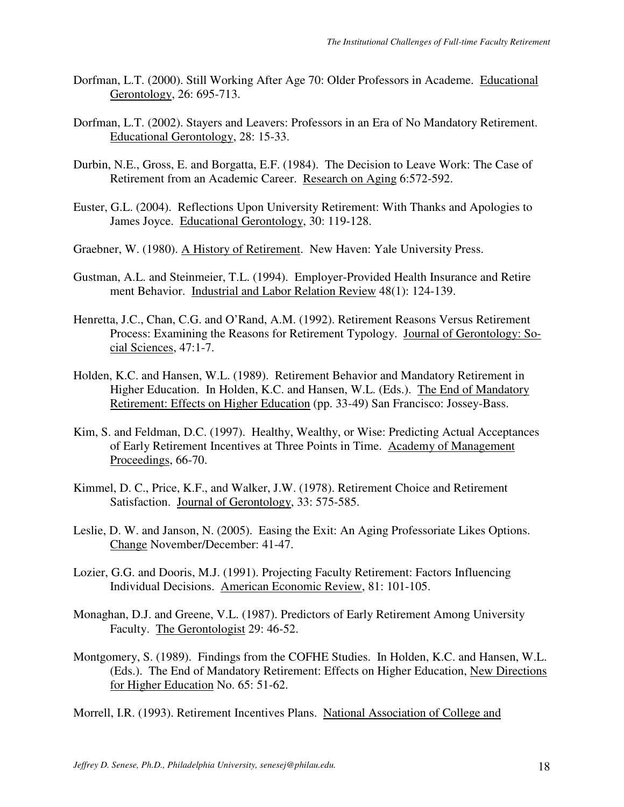- Dorfman, L.T. (2000). Still Working After Age 70: Older Professors in Academe. Educational Gerontology, 26: 695-713.
- Dorfman, L.T. (2002). Stayers and Leavers: Professors in an Era of No Mandatory Retirement. Educational Gerontology, 28: 15-33.
- Durbin, N.E., Gross, E. and Borgatta, E.F. (1984). The Decision to Leave Work: The Case of Retirement from an Academic Career. Research on Aging 6:572-592.
- Euster, G.L. (2004). Reflections Upon University Retirement: With Thanks and Apologies to James Joyce. Educational Gerontology, 30: 119-128.
- Graebner, W. (1980). A History of Retirement. New Haven: Yale University Press.
- Gustman, A.L. and Steinmeier, T.L. (1994). Employer-Provided Health Insurance and Retire ment Behavior. Industrial and Labor Relation Review 48(1): 124-139.
- Henretta, J.C., Chan, C.G. and O'Rand, A.M. (1992). Retirement Reasons Versus Retirement Process: Examining the Reasons for Retirement Typology. Journal of Gerontology: Social Sciences, 47:1-7.
- Holden, K.C. and Hansen, W.L. (1989). Retirement Behavior and Mandatory Retirement in Higher Education. In Holden, K.C. and Hansen, W.L. (Eds.). The End of Mandatory Retirement: Effects on Higher Education (pp. 33-49) San Francisco: Jossey-Bass.
- Kim, S. and Feldman, D.C. (1997). Healthy, Wealthy, or Wise: Predicting Actual Acceptances of Early Retirement Incentives at Three Points in Time. Academy of Management Proceedings, 66-70.
- Kimmel, D. C., Price, K.F., and Walker, J.W. (1978). Retirement Choice and Retirement Satisfaction. Journal of Gerontology, 33: 575-585.
- Leslie, D. W. and Janson, N. (2005). Easing the Exit: An Aging Professoriate Likes Options. Change November/December: 41-47.
- Lozier, G.G. and Dooris, M.J. (1991). Projecting Faculty Retirement: Factors Influencing Individual Decisions. American Economic Review, 81: 101-105.
- Monaghan, D.J. and Greene, V.L. (1987). Predictors of Early Retirement Among University Faculty. The Gerontologist 29: 46-52.
- Montgomery, S. (1989). Findings from the COFHE Studies. In Holden, K.C. and Hansen, W.L. (Eds.). The End of Mandatory Retirement: Effects on Higher Education, New Directions for Higher Education No. 65: 51-62.

Morrell, I.R. (1993). Retirement Incentives Plans. National Association of College and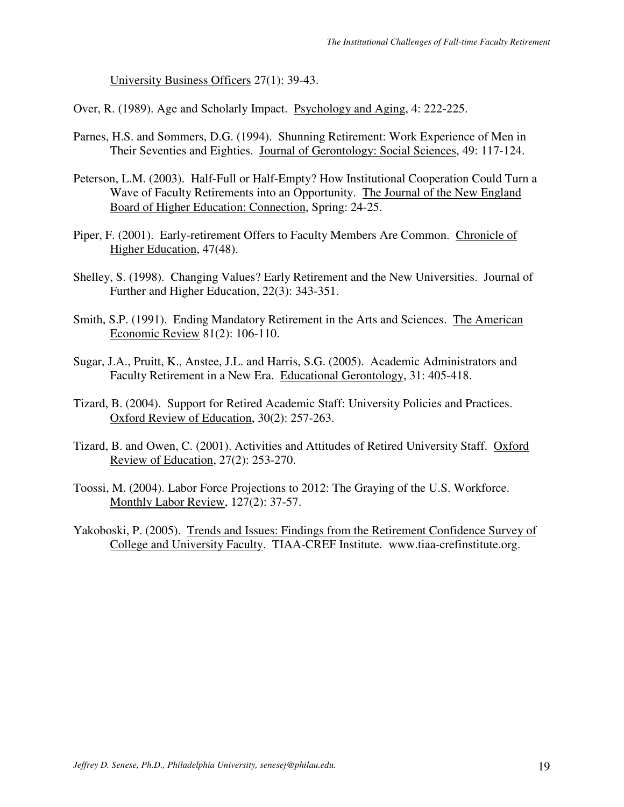University Business Officers 27(1): 39-43.

Over, R. (1989). Age and Scholarly Impact. Psychology and Aging, 4: 222-225.

- Parnes, H.S. and Sommers, D.G. (1994). Shunning Retirement: Work Experience of Men in Their Seventies and Eighties. Journal of Gerontology: Social Sciences, 49: 117-124.
- Peterson, L.M. (2003). Half-Full or Half-Empty? How Institutional Cooperation Could Turn a Wave of Faculty Retirements into an Opportunity. The Journal of the New England Board of Higher Education: Connection, Spring: 24-25.
- Piper, F. (2001). Early-retirement Offers to Faculty Members Are Common. Chronicle of Higher Education, 47(48).
- Shelley, S. (1998). Changing Values? Early Retirement and the New Universities. Journal of Further and Higher Education, 22(3): 343-351.
- Smith, S.P. (1991). Ending Mandatory Retirement in the Arts and Sciences. The American Economic Review 81(2): 106-110.
- Sugar, J.A., Pruitt, K., Anstee, J.L. and Harris, S.G. (2005). Academic Administrators and Faculty Retirement in a New Era. Educational Gerontology, 31: 405-418.
- Tizard, B. (2004). Support for Retired Academic Staff: University Policies and Practices. Oxford Review of Education, 30(2): 257-263.
- Tizard, B. and Owen, C. (2001). Activities and Attitudes of Retired University Staff. Oxford Review of Education, 27(2): 253-270.
- Toossi, M. (2004). Labor Force Projections to 2012: The Graying of the U.S. Workforce. Monthly Labor Review, 127(2): 37-57.
- Yakoboski, P. (2005). Trends and Issues: Findings from the Retirement Confidence Survey of College and University Faculty. TIAA-CREF Institute. www.tiaa-crefinstitute.org.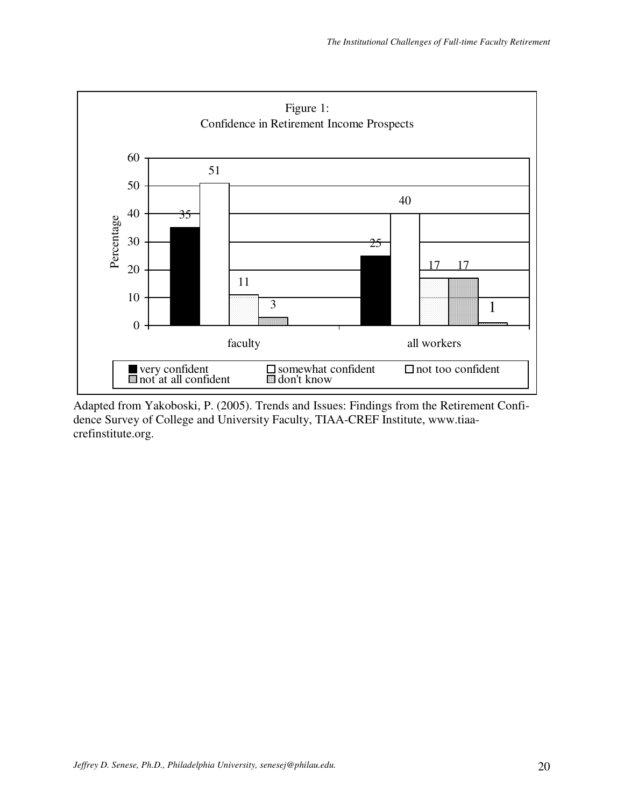

Adapted from Yakoboski, P. (2005). Trends and Issues: Findings from the Retirement Confidence Survey of College and University Faculty, TIAA-CREF Institute, www.tiaacrefinstitute.org.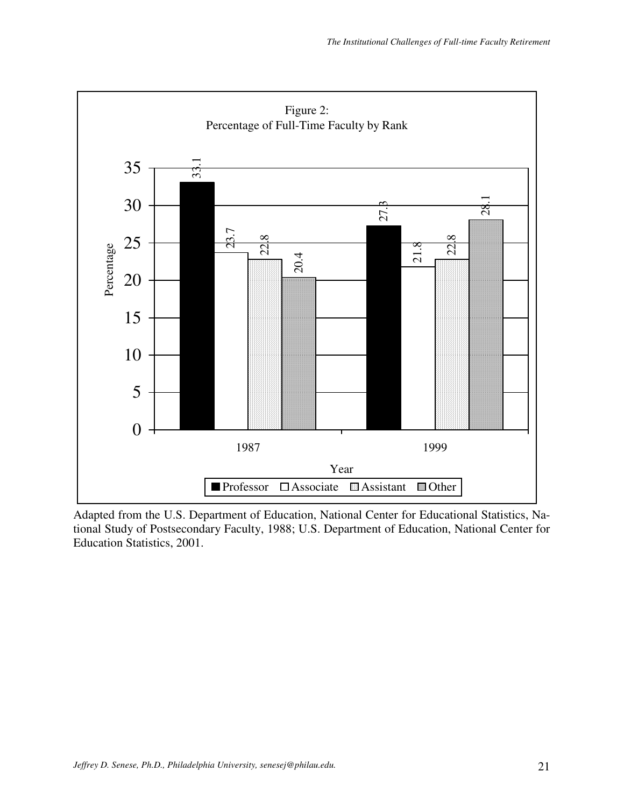

Adapted from the U.S. Department of Education, National Center for Educational Statistics, National Study of Postsecondary Faculty, 1988; U.S. Department of Education, National Center for Education Statistics, 2001.